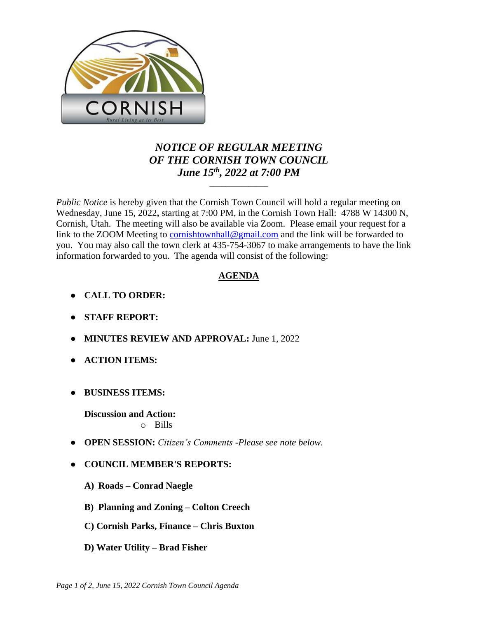

## *NOTICE OF REGULAR MEETING OF THE CORNISH TOWN COUNCIL June 15th , 2022 at 7:00 PM*

\_\_\_\_\_\_\_\_\_\_\_\_\_\_\_

*Public Notice* is hereby given that the Cornish Town Council will hold a regular meeting on Wednesday, June 15, 2022**,** starting at 7:00 PM, in the Cornish Town Hall: 4788 W 14300 N, Cornish, Utah. The meeting will also be available via Zoom. Please email your request for a link to the ZOOM Meeting to [cornishtownhall@gmail.com](mailto:cornishtownhall@gmail.com) and the link will be forwarded to you. You may also call the town clerk at 435-754-3067 to make arrangements to have the link information forwarded to you. The agenda will consist of the following:

## **AGENDA**

- **● CALL TO ORDER:**
- **● STAFF REPORT:**
- **● MINUTES REVIEW AND APPROVAL:** June 1, 2022
- **● ACTION ITEMS:**
- **● BUSINESS ITEMS:**

**Discussion and Action:**  o Bills

- **● OPEN SESSION:** *Citizen's Comments -Please see note below.*
- **● COUNCIL MEMBER'S REPORTS:**
	- **A) Roads – Conrad Naegle**
	- **B) Planning and Zoning – Colton Creech**
	- **C) Cornish Parks, Finance – Chris Buxton**
	- **D) Water Utility – Brad Fisher**